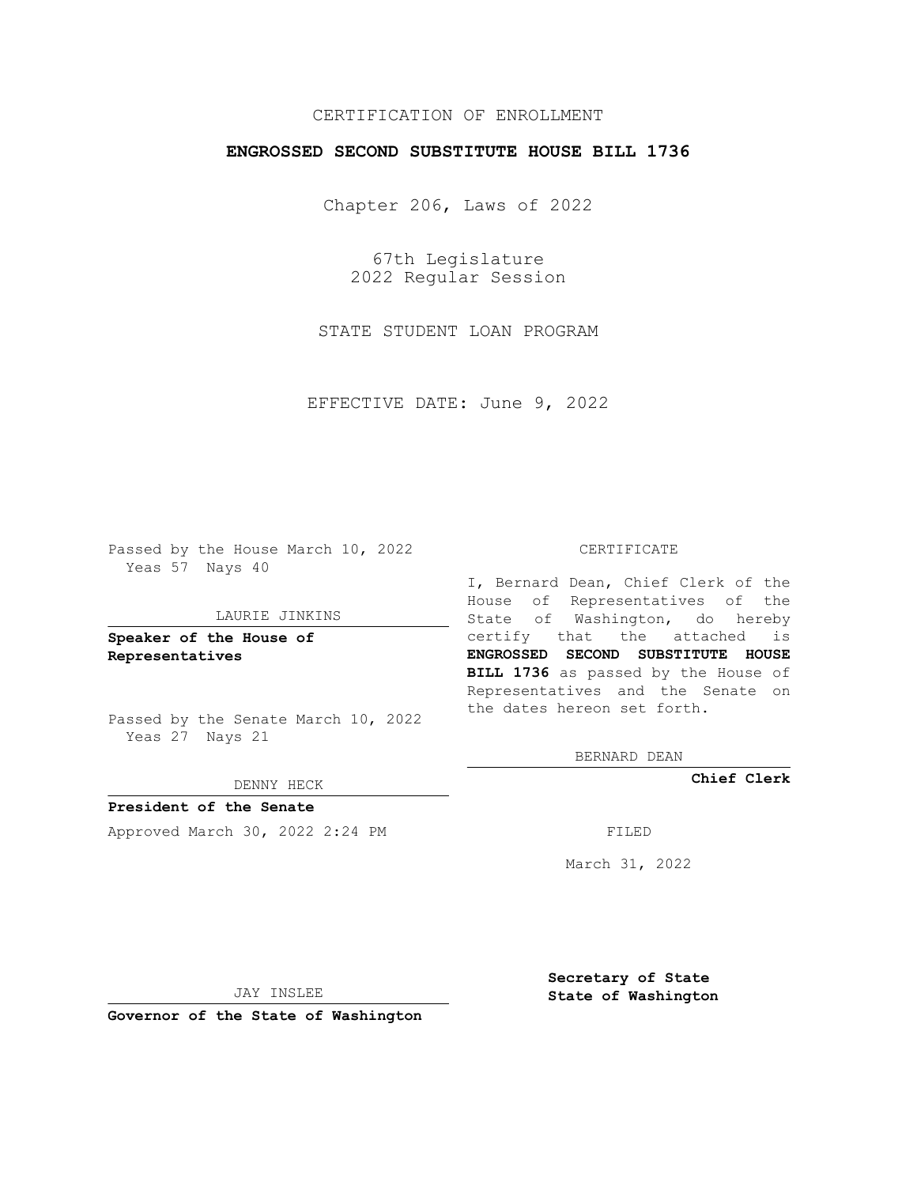# CERTIFICATION OF ENROLLMENT

# **ENGROSSED SECOND SUBSTITUTE HOUSE BILL 1736**

Chapter 206, Laws of 2022

67th Legislature 2022 Regular Session

STATE STUDENT LOAN PROGRAM

EFFECTIVE DATE: June 9, 2022

Passed by the House March 10, 2022 Yeas 57 Nays 40

#### LAURIE JINKINS

**Speaker of the House of Representatives**

Passed by the Senate March 10, 2022 Yeas 27 Nays 21

### DENNY HECK

**President of the Senate** Approved March 30, 2022 2:24 PM

#### CERTIFICATE

I, Bernard Dean, Chief Clerk of the House of Representatives of the State of Washington, do hereby certify that the attached is **ENGROSSED SECOND SUBSTITUTE HOUSE BILL 1736** as passed by the House of Representatives and the Senate on the dates hereon set forth.

BERNARD DEAN

**Chief Clerk**

March 31, 2022

JAY INSLEE

**Governor of the State of Washington**

**Secretary of State State of Washington**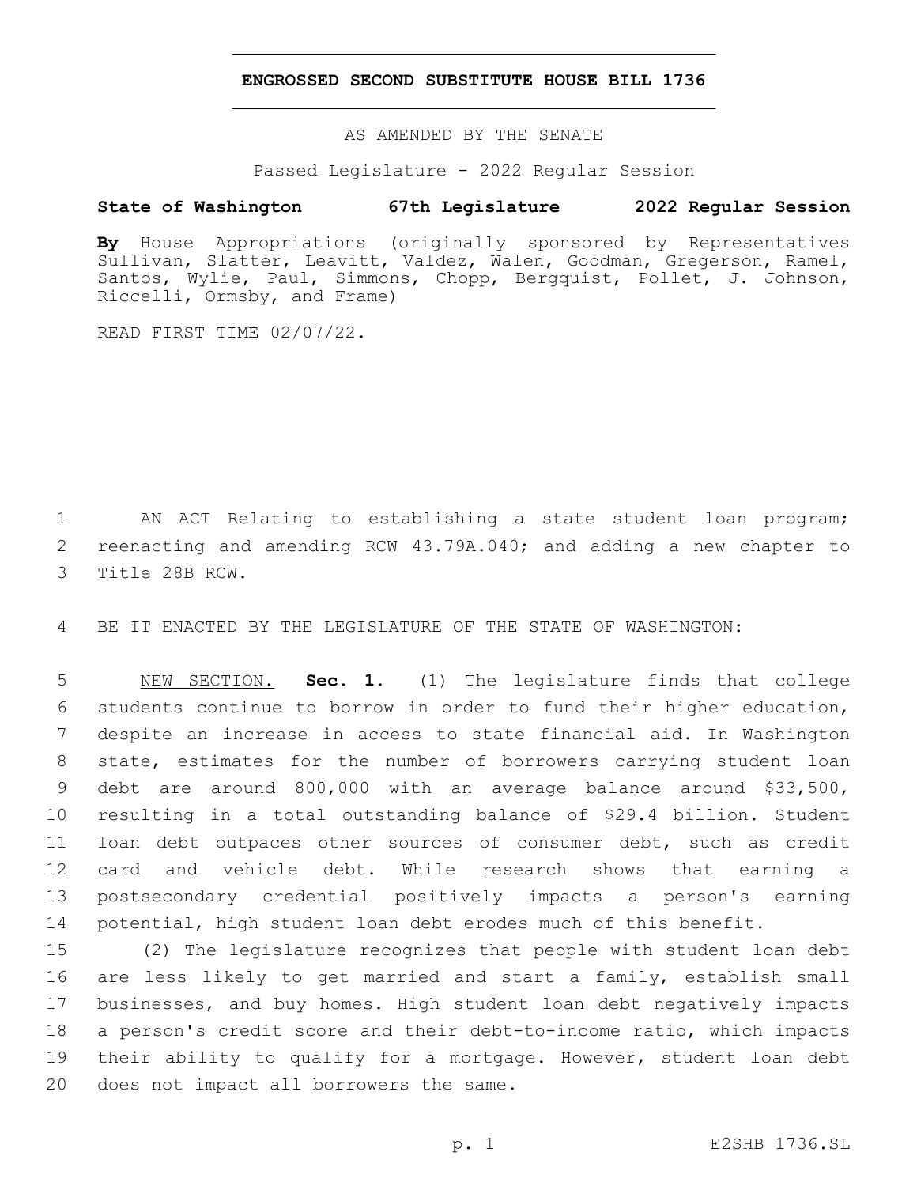## **ENGROSSED SECOND SUBSTITUTE HOUSE BILL 1736**

AS AMENDED BY THE SENATE

Passed Legislature - 2022 Regular Session

# **State of Washington 67th Legislature 2022 Regular Session**

**By** House Appropriations (originally sponsored by Representatives Sullivan, Slatter, Leavitt, Valdez, Walen, Goodman, Gregerson, Ramel, Santos, Wylie, Paul, Simmons, Chopp, Bergquist, Pollet, J. Johnson, Riccelli, Ormsby, and Frame)

READ FIRST TIME 02/07/22.

1 AN ACT Relating to establishing a state student loan program; 2 reenacting and amending RCW 43.79A.040; and adding a new chapter to 3 Title 28B RCW.

4 BE IT ENACTED BY THE LEGISLATURE OF THE STATE OF WASHINGTON:

 NEW SECTION. **Sec. 1.** (1) The legislature finds that college students continue to borrow in order to fund their higher education, despite an increase in access to state financial aid. In Washington state, estimates for the number of borrowers carrying student loan debt are around 800,000 with an average balance around \$33,500, resulting in a total outstanding balance of \$29.4 billion. Student loan debt outpaces other sources of consumer debt, such as credit card and vehicle debt. While research shows that earning a postsecondary credential positively impacts a person's earning potential, high student loan debt erodes much of this benefit.

 (2) The legislature recognizes that people with student loan debt are less likely to get married and start a family, establish small businesses, and buy homes. High student loan debt negatively impacts a person's credit score and their debt-to-income ratio, which impacts their ability to qualify for a mortgage. However, student loan debt 20 does not impact all borrowers the same.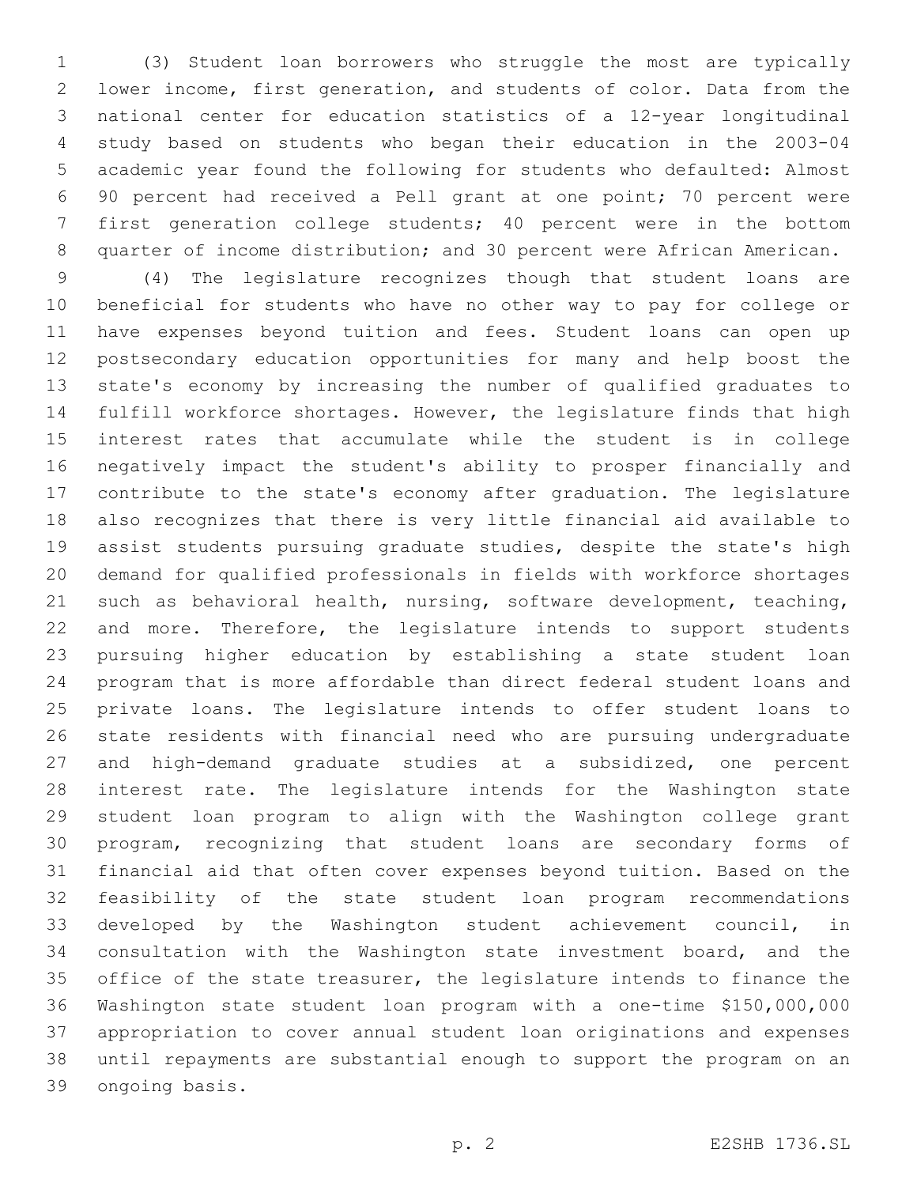(3) Student loan borrowers who struggle the most are typically lower income, first generation, and students of color. Data from the national center for education statistics of a 12-year longitudinal study based on students who began their education in the 2003-04 academic year found the following for students who defaulted: Almost 90 percent had received a Pell grant at one point; 70 percent were first generation college students; 40 percent were in the bottom quarter of income distribution; and 30 percent were African American.

 (4) The legislature recognizes though that student loans are beneficial for students who have no other way to pay for college or have expenses beyond tuition and fees. Student loans can open up postsecondary education opportunities for many and help boost the state's economy by increasing the number of qualified graduates to fulfill workforce shortages. However, the legislature finds that high interest rates that accumulate while the student is in college negatively impact the student's ability to prosper financially and contribute to the state's economy after graduation. The legislature also recognizes that there is very little financial aid available to assist students pursuing graduate studies, despite the state's high demand for qualified professionals in fields with workforce shortages such as behavioral health, nursing, software development, teaching, and more. Therefore, the legislature intends to support students pursuing higher education by establishing a state student loan program that is more affordable than direct federal student loans and private loans. The legislature intends to offer student loans to state residents with financial need who are pursuing undergraduate and high-demand graduate studies at a subsidized, one percent interest rate. The legislature intends for the Washington state student loan program to align with the Washington college grant program, recognizing that student loans are secondary forms of financial aid that often cover expenses beyond tuition. Based on the feasibility of the state student loan program recommendations developed by the Washington student achievement council, in consultation with the Washington state investment board, and the 35 office of the state treasurer, the legislature intends to finance the Washington state student loan program with a one-time \$150,000,000 appropriation to cover annual student loan originations and expenses until repayments are substantial enough to support the program on an 39 ongoing basis.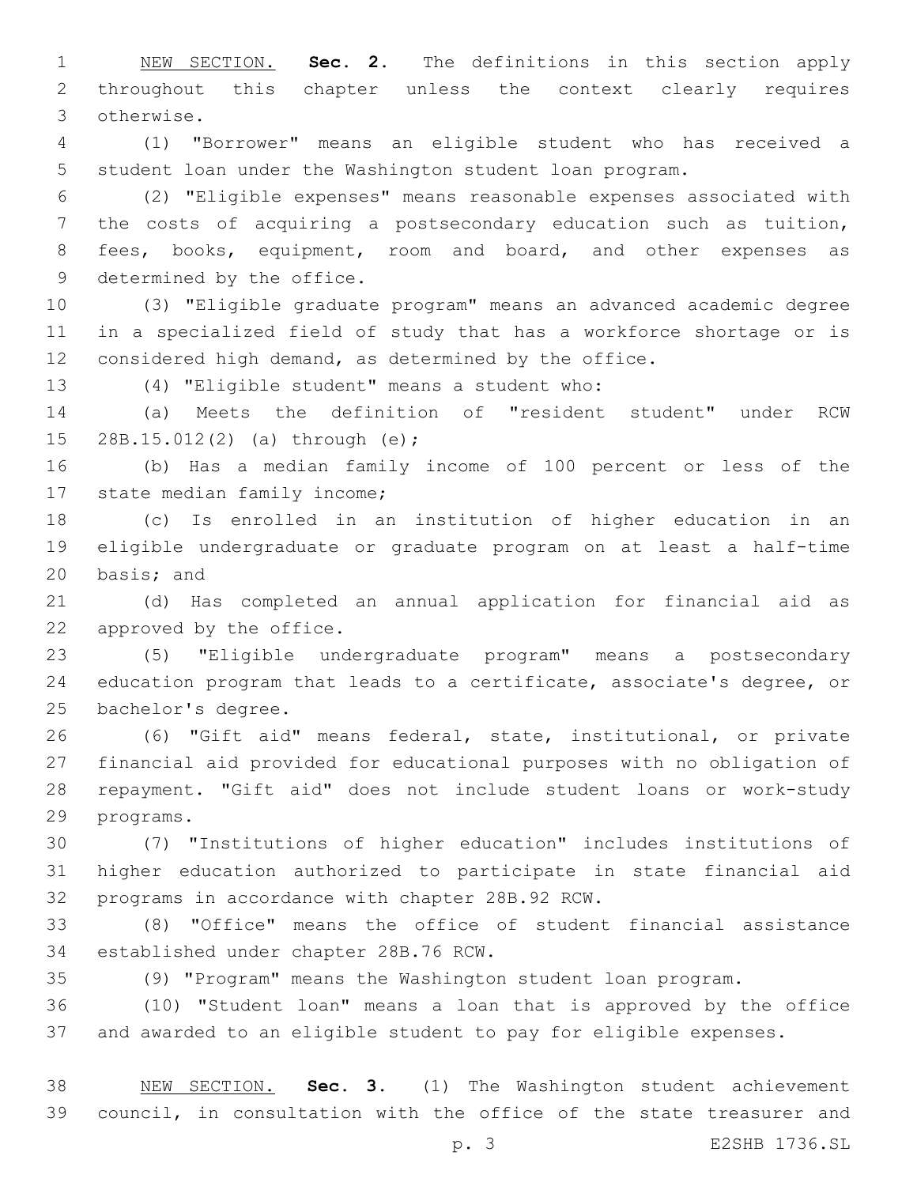NEW SECTION. **Sec. 2.** The definitions in this section apply throughout this chapter unless the context clearly requires otherwise.

 (1) "Borrower" means an eligible student who has received a student loan under the Washington student loan program.

 (2) "Eligible expenses" means reasonable expenses associated with the costs of acquiring a postsecondary education such as tuition, 8 fees, books, equipment, room and board, and other expenses as 9 determined by the office.

 (3) "Eligible graduate program" means an advanced academic degree in a specialized field of study that has a workforce shortage or is considered high demand, as determined by the office.

(4) "Eligible student" means a student who:13

 (a) Meets the definition of "resident student" under RCW 15 28B.15.012(2) (a) through (e);

 (b) Has a median family income of 100 percent or less of the 17 state median family income;

 (c) Is enrolled in an institution of higher education in an eligible undergraduate or graduate program on at least a half-time 20 basis; and

 (d) Has completed an annual application for financial aid as 22 approved by the office.

 (5) "Eligible undergraduate program" means a postsecondary education program that leads to a certificate, associate's degree, or 25 bachelor's degree.

 (6) "Gift aid" means federal, state, institutional, or private financial aid provided for educational purposes with no obligation of repayment. "Gift aid" does not include student loans or work-study 29 programs.

 (7) "Institutions of higher education" includes institutions of higher education authorized to participate in state financial aid 32 programs in accordance with chapter 28B.92 RCW.

 (8) "Office" means the office of student financial assistance 34 established under chapter 28B.76 RCW.

(9) "Program" means the Washington student loan program.

 (10) "Student loan" means a loan that is approved by the office and awarded to an eligible student to pay for eligible expenses.

 NEW SECTION. **Sec. 3.** (1) The Washington student achievement council, in consultation with the office of the state treasurer and

p. 3 E2SHB 1736.SL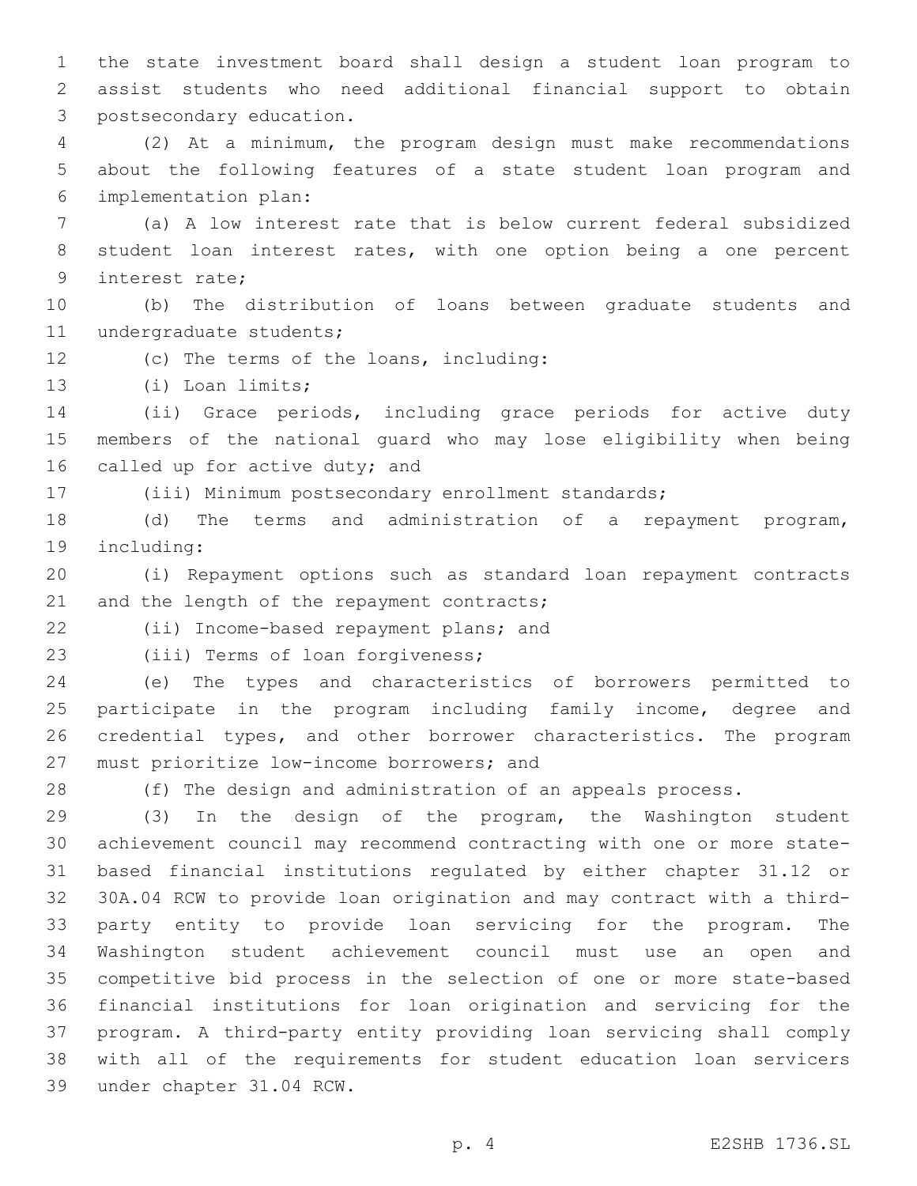the state investment board shall design a student loan program to assist students who need additional financial support to obtain 3 postsecondary education.

 (2) At a minimum, the program design must make recommendations about the following features of a state student loan program and implementation plan:6

 (a) A low interest rate that is below current federal subsidized student loan interest rates, with one option being a one percent 9 interest rate;

 (b) The distribution of loans between graduate students and 11 undergraduate students;

12 (c) The terms of the loans, including:

13 (i) Loan limits;

 (ii) Grace periods, including grace periods for active duty members of the national guard who may lose eligibility when being 16 called up for active duty; and

(iii) Minimum postsecondary enrollment standards;

 (d) The terms and administration of a repayment program, 19 including:

 (i) Repayment options such as standard loan repayment contracts 21 and the length of the repayment contracts;

22 (ii) Income-based repayment plans; and

23 (iii) Terms of loan forgiveness;

 (e) The types and characteristics of borrowers permitted to participate in the program including family income, degree and credential types, and other borrower characteristics. The program 27 must prioritize low-income borrowers; and

(f) The design and administration of an appeals process.

 (3) In the design of the program, the Washington student achievement council may recommend contracting with one or more state- based financial institutions regulated by either chapter 31.12 or 30A.04 RCW to provide loan origination and may contract with a third- party entity to provide loan servicing for the program. The Washington student achievement council must use an open and competitive bid process in the selection of one or more state-based financial institutions for loan origination and servicing for the program. A third-party entity providing loan servicing shall comply with all of the requirements for student education loan servicers 39 under chapter 31.04 RCW.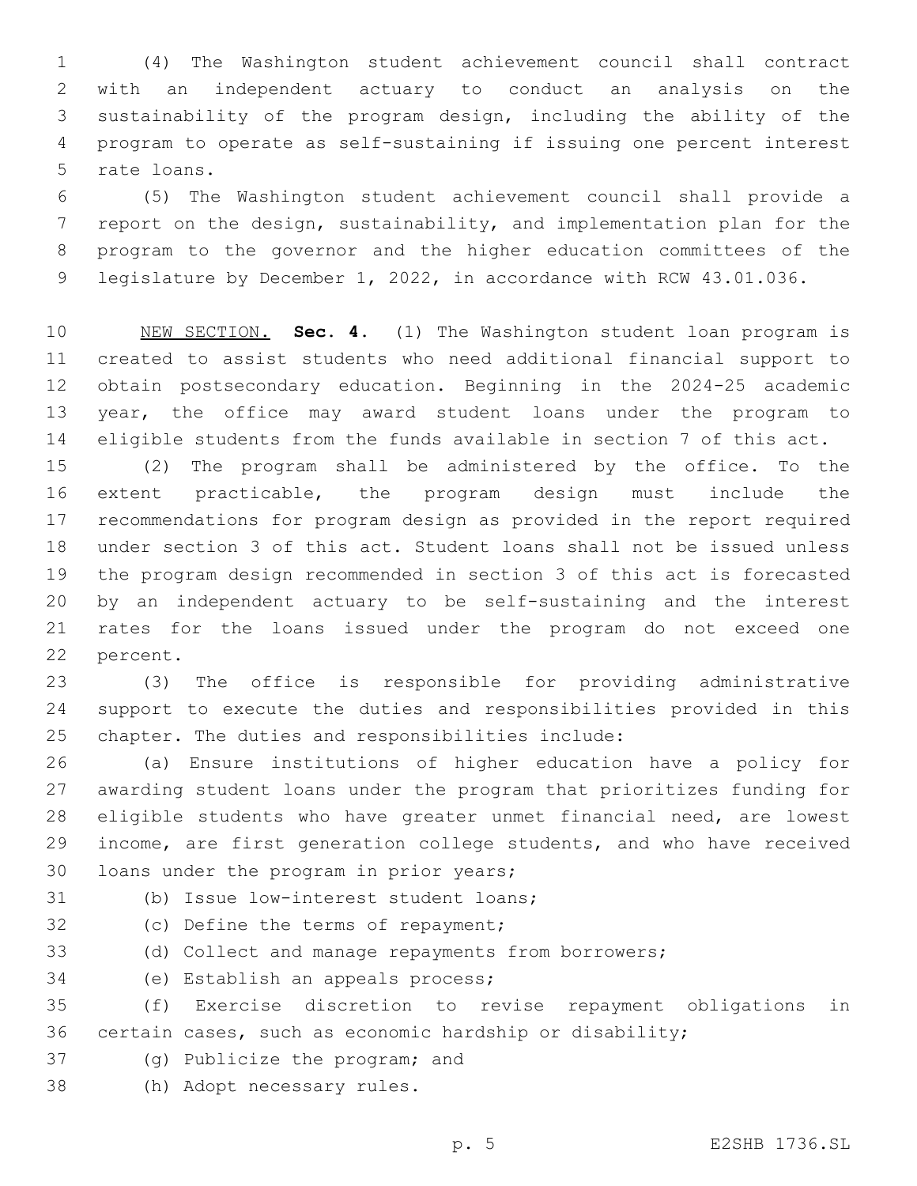(4) The Washington student achievement council shall contract with an independent actuary to conduct an analysis on the sustainability of the program design, including the ability of the program to operate as self-sustaining if issuing one percent interest 5 rate loans.

 (5) The Washington student achievement council shall provide a report on the design, sustainability, and implementation plan for the program to the governor and the higher education committees of the legislature by December 1, 2022, in accordance with RCW 43.01.036.

 NEW SECTION. **Sec. 4.** (1) The Washington student loan program is created to assist students who need additional financial support to obtain postsecondary education. Beginning in the 2024-25 academic year, the office may award student loans under the program to eligible students from the funds available in section 7 of this act.

 (2) The program shall be administered by the office. To the extent practicable, the program design must include the recommendations for program design as provided in the report required under section 3 of this act. Student loans shall not be issued unless the program design recommended in section 3 of this act is forecasted by an independent actuary to be self-sustaining and the interest rates for the loans issued under the program do not exceed one 22 percent.

 (3) The office is responsible for providing administrative support to execute the duties and responsibilities provided in this 25 chapter. The duties and responsibilities include:

 (a) Ensure institutions of higher education have a policy for awarding student loans under the program that prioritizes funding for eligible students who have greater unmet financial need, are lowest income, are first generation college students, and who have received 30 loans under the program in prior years;

(b) Issue low-interest student loans;

32 (c) Define the terms of repayment;

(d) Collect and manage repayments from borrowers;

34 (e) Establish an appeals process;

 (f) Exercise discretion to revise repayment obligations in certain cases, such as economic hardship or disability;

- 37 (g) Publicize the program; and
- 38 (h) Adopt necessary rules.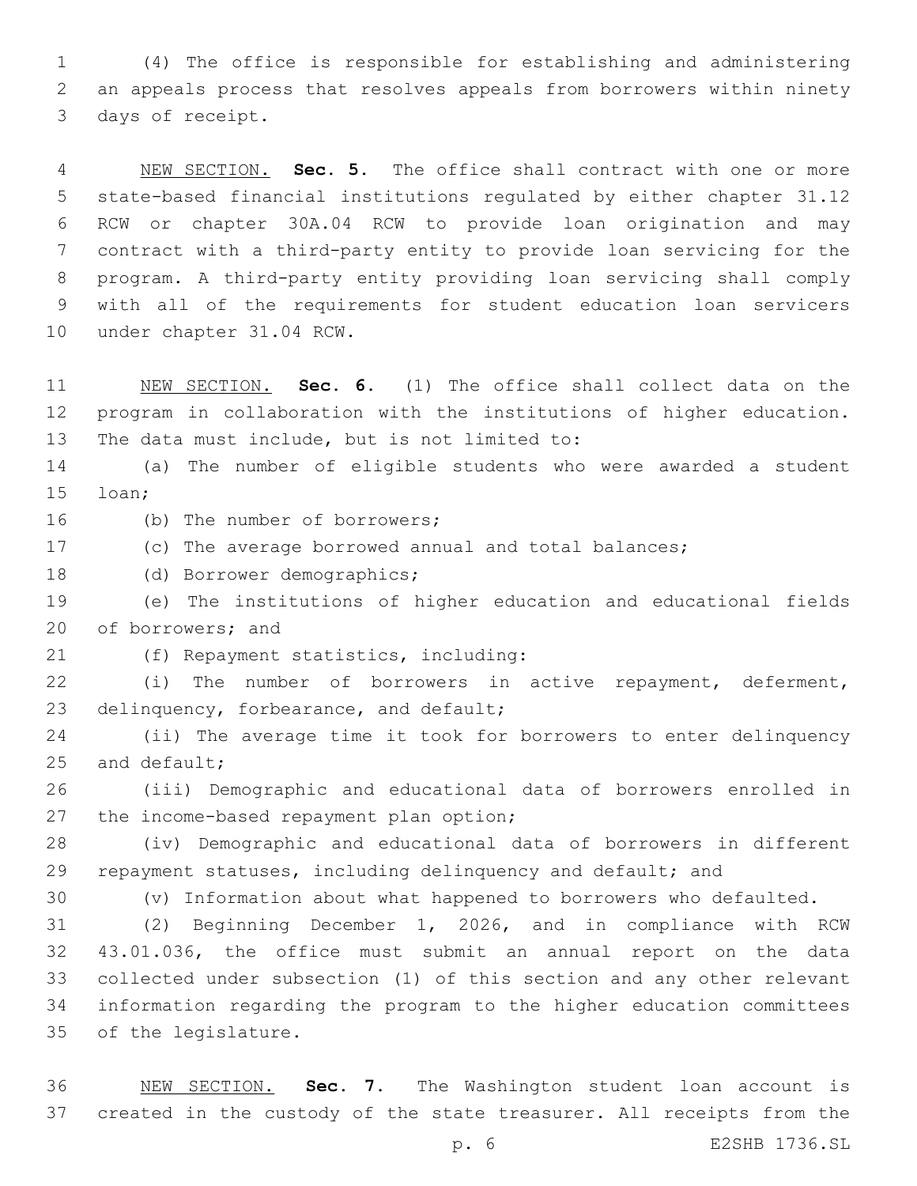(4) The office is responsible for establishing and administering an appeals process that resolves appeals from borrowers within ninety 3 days of receipt.

 NEW SECTION. **Sec. 5.** The office shall contract with one or more state-based financial institutions regulated by either chapter 31.12 RCW or chapter 30A.04 RCW to provide loan origination and may contract with a third-party entity to provide loan servicing for the program. A third-party entity providing loan servicing shall comply with all of the requirements for student education loan servicers under chapter 31.04 RCW.

 NEW SECTION. **Sec. 6.** (1) The office shall collect data on the program in collaboration with the institutions of higher education. The data must include, but is not limited to:

 (a) The number of eligible students who were awarded a student 15 loan;

16 (b) The number of borrowers;

- (c) The average borrowed annual and total balances;
- 18 (d) Borrower demographics;

 (e) The institutions of higher education and educational fields 20 of borrowers; and

(f) Repayment statistics, including:21

 (i) The number of borrowers in active repayment, deferment, 23 delinquency, forbearance, and default;

 (ii) The average time it took for borrowers to enter delinquency and default;

 (iii) Demographic and educational data of borrowers enrolled in 27 the income-based repayment plan option;

 (iv) Demographic and educational data of borrowers in different 29 repayment statuses, including delinquency and default; and

(v) Information about what happened to borrowers who defaulted.

 (2) Beginning December 1, 2026, and in compliance with RCW 43.01.036, the office must submit an annual report on the data collected under subsection (1) of this section and any other relevant information regarding the program to the higher education committees 35 of the legislature.

 NEW SECTION. **Sec. 7.** The Washington student loan account is created in the custody of the state treasurer. All receipts from the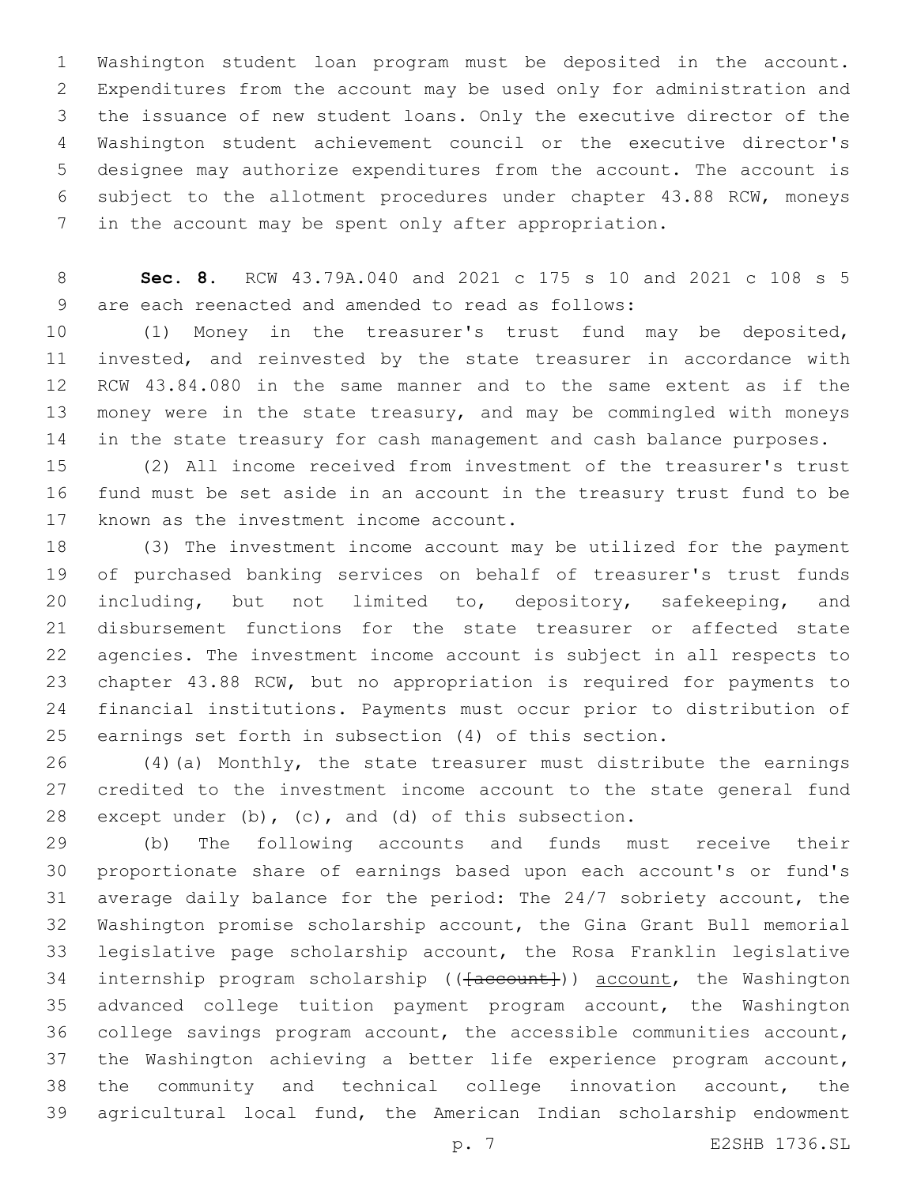Washington student loan program must be deposited in the account. Expenditures from the account may be used only for administration and the issuance of new student loans. Only the executive director of the Washington student achievement council or the executive director's designee may authorize expenditures from the account. The account is subject to the allotment procedures under chapter 43.88 RCW, moneys in the account may be spent only after appropriation.

 **Sec. 8.** RCW 43.79A.040 and 2021 c 175 s 10 and 2021 c 108 s 5 9 are each reenacted and amended to read as follows:

 (1) Money in the treasurer's trust fund may be deposited, invested, and reinvested by the state treasurer in accordance with RCW 43.84.080 in the same manner and to the same extent as if the money were in the state treasury, and may be commingled with moneys 14 in the state treasury for cash management and cash balance purposes.

 (2) All income received from investment of the treasurer's trust fund must be set aside in an account in the treasury trust fund to be 17 known as the investment income account.

 (3) The investment income account may be utilized for the payment of purchased banking services on behalf of treasurer's trust funds 20 including, but not limited to, depository, safekeeping, and disbursement functions for the state treasurer or affected state agencies. The investment income account is subject in all respects to chapter 43.88 RCW, but no appropriation is required for payments to financial institutions. Payments must occur prior to distribution of earnings set forth in subsection (4) of this section.

 (4)(a) Monthly, the state treasurer must distribute the earnings credited to the investment income account to the state general fund except under (b), (c), and (d) of this subsection.

 (b) The following accounts and funds must receive their proportionate share of earnings based upon each account's or fund's average daily balance for the period: The 24/7 sobriety account, the Washington promise scholarship account, the Gina Grant Bull memorial legislative page scholarship account, the Rosa Franklin legislative 34 internship program scholarship (( $\{a$ ccount)) account, the Washington advanced college tuition payment program account, the Washington college savings program account, the accessible communities account, the Washington achieving a better life experience program account, the community and technical college innovation account, the agricultural local fund, the American Indian scholarship endowment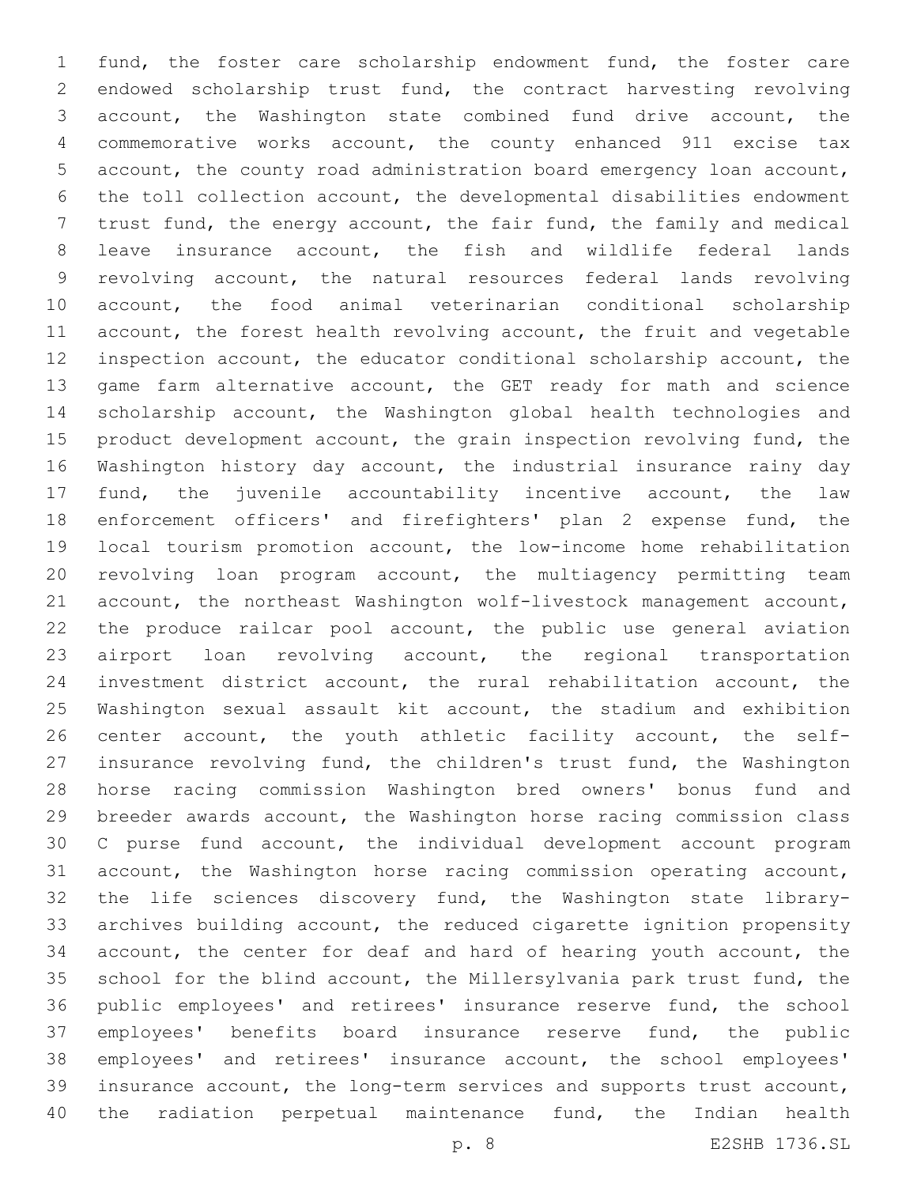fund, the foster care scholarship endowment fund, the foster care endowed scholarship trust fund, the contract harvesting revolving account, the Washington state combined fund drive account, the commemorative works account, the county enhanced 911 excise tax account, the county road administration board emergency loan account, the toll collection account, the developmental disabilities endowment trust fund, the energy account, the fair fund, the family and medical leave insurance account, the fish and wildlife federal lands revolving account, the natural resources federal lands revolving account, the food animal veterinarian conditional scholarship account, the forest health revolving account, the fruit and vegetable inspection account, the educator conditional scholarship account, the game farm alternative account, the GET ready for math and science scholarship account, the Washington global health technologies and 15 product development account, the grain inspection revolving fund, the Washington history day account, the industrial insurance rainy day fund, the juvenile accountability incentive account, the law enforcement officers' and firefighters' plan 2 expense fund, the local tourism promotion account, the low-income home rehabilitation revolving loan program account, the multiagency permitting team account, the northeast Washington wolf-livestock management account, the produce railcar pool account, the public use general aviation 23 airport loan revolving account, the regional transportation investment district account, the rural rehabilitation account, the Washington sexual assault kit account, the stadium and exhibition center account, the youth athletic facility account, the self- insurance revolving fund, the children's trust fund, the Washington horse racing commission Washington bred owners' bonus fund and breeder awards account, the Washington horse racing commission class C purse fund account, the individual development account program account, the Washington horse racing commission operating account, the life sciences discovery fund, the Washington state library- archives building account, the reduced cigarette ignition propensity account, the center for deaf and hard of hearing youth account, the school for the blind account, the Millersylvania park trust fund, the public employees' and retirees' insurance reserve fund, the school employees' benefits board insurance reserve fund, the public employees' and retirees' insurance account, the school employees' insurance account, the long-term services and supports trust account, the radiation perpetual maintenance fund, the Indian health